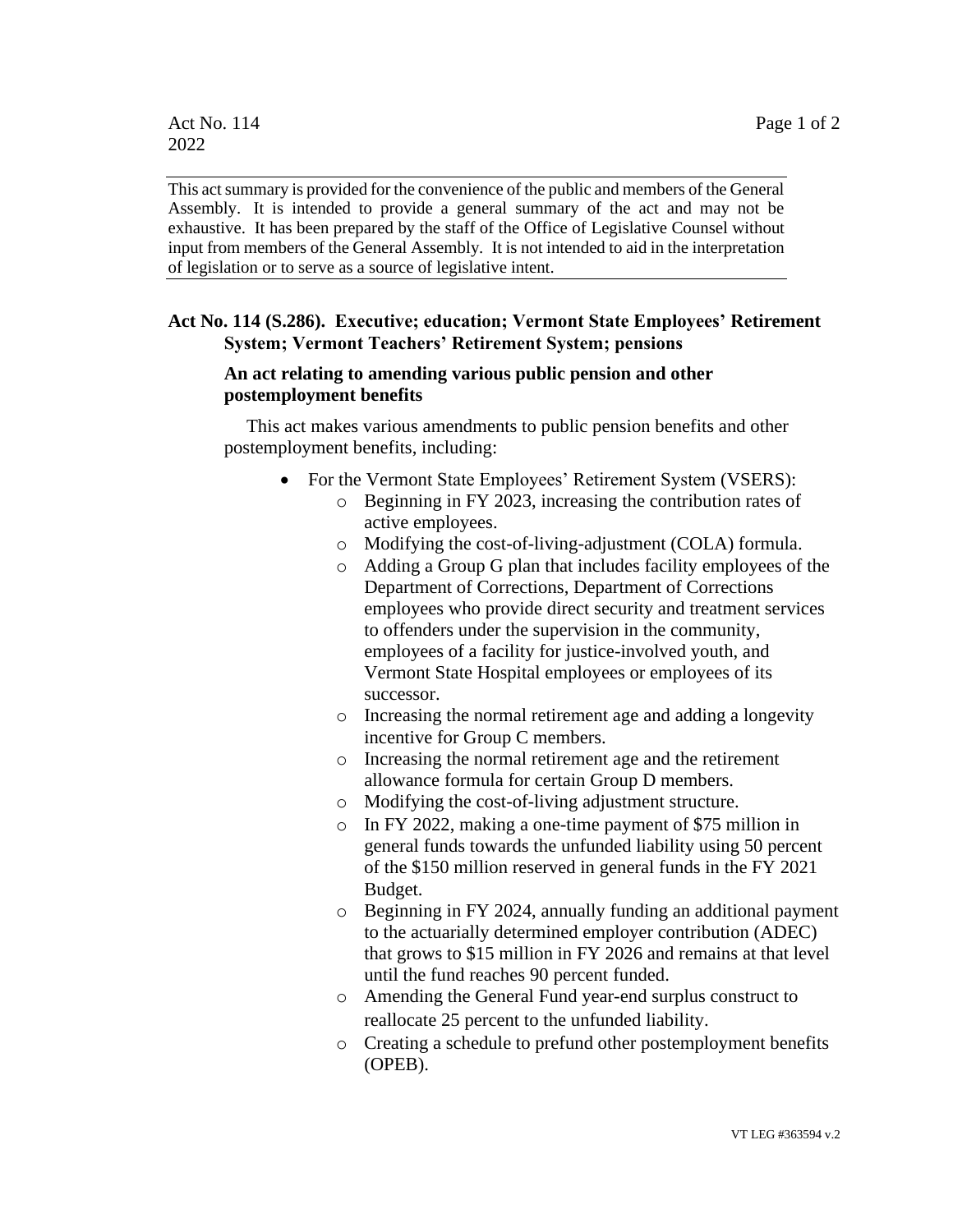This act summary is provided for the convenience of the public and members of the General Assembly. It is intended to provide a general summary of the act and may not be exhaustive. It has been prepared by the staff of the Office of Legislative Counsel without input from members of the General Assembly. It is not intended to aid in the interpretation of legislation or to serve as a source of legislative intent.

## **Act No. 114 (S.286). Executive; education; Vermont State Employees' Retirement System; Vermont Teachers' Retirement System; pensions**

## **An act relating to amending various public pension and other postemployment benefits**

This act makes various amendments to public pension benefits and other postemployment benefits, including:

- For the Vermont State Employees' Retirement System (VSERS):
	- o Beginning in FY 2023, increasing the contribution rates of active employees.
	- o Modifying the cost-of-living-adjustment (COLA) formula.
	- o Adding a Group G plan that includes facility employees of the Department of Corrections, Department of Corrections employees who provide direct security and treatment services to offenders under the supervision in the community, employees of a facility for justice-involved youth, and Vermont State Hospital employees or employees of its successor.
	- o Increasing the normal retirement age and adding a longevity incentive for Group C members.
	- o Increasing the normal retirement age and the retirement allowance formula for certain Group D members.
	- o Modifying the cost-of-living adjustment structure.
	- o In FY 2022, making a one-time payment of \$75 million in general funds towards the unfunded liability using 50 percent of the \$150 million reserved in general funds in the FY 2021 Budget.
	- o Beginning in FY 2024, annually funding an additional payment to the actuarially determined employer contribution (ADEC) that grows to \$15 million in FY 2026 and remains at that level until the fund reaches 90 percent funded.
	- o Amending the General Fund year-end surplus construct to reallocate 25 percent to the unfunded liability.
	- o Creating a schedule to prefund other postemployment benefits (OPEB).